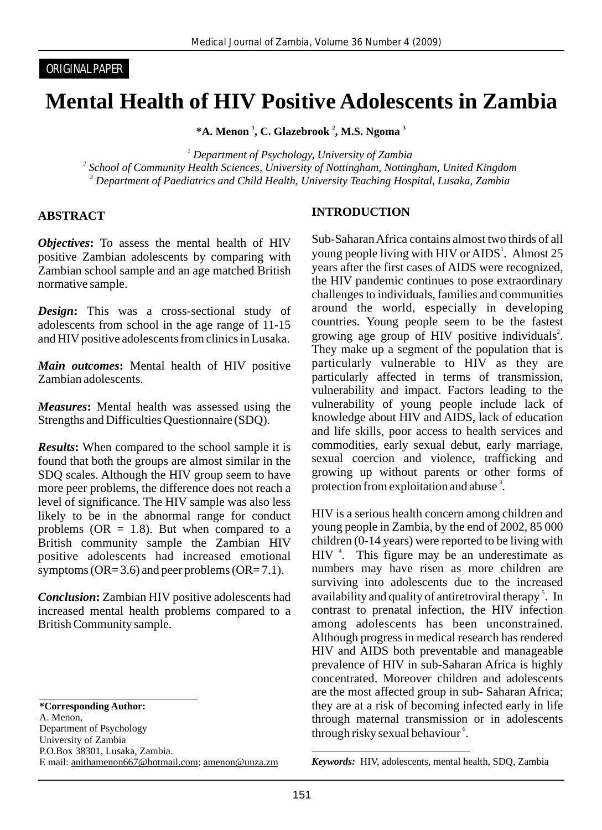#### ORIGINAL PAPER

# **Mental Health of HIV Positive Adolescents in Zambia**

**\*A. Menon <sup>1</sup>, C. Glazebrook <sup>2</sup>, M.S. Ngoma <sup>3</sup>** 

*1 Department of Psychology, University of Zambia 2 School of Community Health Sciences, University of Nottingham, Nottingham, United Kingdom 3 Department of Paediatrics and Child Health, University Teaching Hospital, Lusaka, Zambia* 

#### **ABSTRACT**

*Objectives***:** To assess the mental health of HIV positive Zambian adolescents by comparing with Zambian school sample and an age matched British normative sample.

*Design***:** This was a cross-sectional study of adolescents from school in the age range of 11-15 and HIV positive adolescents from clinics in Lusaka.

*Main outcomes***:** Mental health of HIV positive Zambian adolescents.

*Measures***:** Mental health was assessed using the Strengths and Difficulties Questionnaire (SDQ).

*Results*: When compared to the school sample it is found that both the groups are almost similar in the SDQ scales. Although the HIV group seem to have more peer problems, the difference does not reach a level of significance. The HIV sample was also less likely to be in the abnormal range for conduct problems ( $OR = 1.8$ ). But when compared to a British community sample the Zambian HIV positive adolescents had increased emotional symptoms ( $OR = 3.6$ ) and peer problems ( $OR = 7.1$ ).

*Conclusion***:** Zambian HIV positive adolescents had increased mental health problems compared to a British Community sample.

A. Menon,

Department of Psychology University of Zambia P.O.Box 38301, Lusaka, Zambia. E mail: anithamenon667@hotmail.com; amenon@unza.zm

#### **INTRODUCTION**

Sub-Saharan Africa contains almost two thirds of all young people living with HIV or AIDS<sup>1</sup>. Almost 25 years after the first cases of AIDS were recognized, the HIV pandemic continues to pose extraordinary challenges to individuals, families and communities around the world, especially in developing countries. Young people seem to be the fastest growing age group of HIV positive individuals<sup>2</sup>. They make up a segment of the population that is particularly vulnerable to HIV as they are particularly affected in terms of transmission, vulnerability and impact. Factors leading to the vulnerability of young people include lack of knowledge about HIV and AIDS, lack of education and life skills, poor access to health services and commodities, early sexual debut, early marriage, sexual coercion and violence, trafficking and growing up without parents or other forms of protection from exploitation and abuse<sup>3</sup>.

HIV is a serious health concern among children and young people in Zambia, by the end of 2002, 85 000 children (0-14 years) were reported to be living with  $HIV$ <sup>4</sup>. This figure may be an underestimate as numbers may have risen as more children are surviving into adolescents due to the increased availability and quality of antiretroviral therapy<sup>5</sup>. In contrast to prenatal infection, the HIV infection among adolescents has been unconstrained. Although progress in medical research has rendered HIV and AIDS both preventable and manageable prevalence of HIV in sub-Saharan Africa is highly concentrated. Moreover children and adolescents are the most affected group in sub- Saharan Africa; they are at a risk of becoming infected early in life through maternal transmission or in adolescents through risky sexual behaviour<sup>6</sup>.

**<sup>\*</sup>Corresponding Author:** 

*Keywords:*HIV, adolescents, mental health, SDQ, Zambia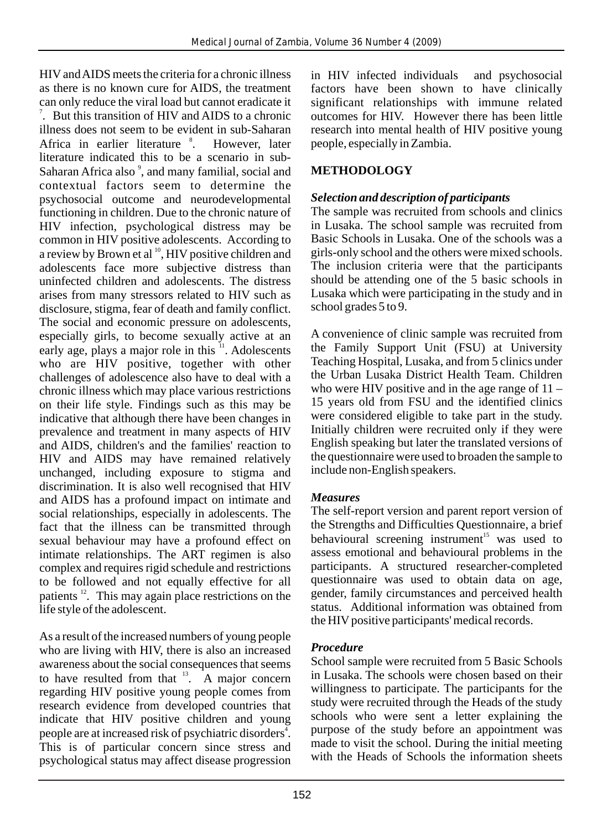HIVand AIDS meets the criteria for a chronic illness as there is no known cure for AIDS, the treatment can only reduce the viral load but cannot eradicate it  $\alpha$ . But this transition of HIV and AIDS to a chronic illness does not seem to be evident in sub-Saharan Africa in earlier literature <sup>8</sup>. However, later literature indicated this to be a scenario in sub-Saharan Africa also<sup>9</sup>, and many familial, social and contextual factors seem to determine the psychosocial outcome and neurodevelopmental functioning in children. Due to the chronic nature of HIV infection, psychological distress may be common in HIV positive adolescents. According to a review by Brown et al <sup>10</sup>, HIV positive children and adolescents face more subjective distress than uninfected children and adolescents. The distress arises from many stressors related to HIV such as disclosure, stigma, fear of death and family conflict. The social and economic pressure on adolescents, especially girls, to become sexually active at an early age, plays a major role in this <sup>11</sup>. Adolescents who are HIV positive, together with other challenges of adolescence also have to deal with a chronic illness which may place various restrictions on their life style. Findings such as this may be indicative that although there have been changes in prevalence and treatment in many aspects of HIV and AIDS, children's and the families' reaction to HIV and AIDS may have remained relatively unchanged, including exposure to stigma and discrimination. It is also well recognised that HIV and AIDS has a profound impact on intimate and social relationships, especially in adolescents. The fact that the illness can be transmitted through sexual behaviour may have a profound effect on intimate relationships. The ART regimen is also complex and requires rigid schedule and restrictions to be followed and not equally effective for all patients  $\frac{12}{2}$ . This may again place restrictions on the life style of the adolescent.

As a result of the increased numbers of young people who are living with HIV, there is also an increased awareness about the social consequences that seems to have resulted from that  $13$ . A major concern regarding HIV positive young people comes from research evidence from developed countries that indicate that HIV positive children and young people are at increased risk of psychiatric disorders<sup>4</sup>. This is of particular concern since stress and psychological status may affect disease progression

in HIV infected individuals and psychosocial factors have been shown to have clinically significant relationships with immune related outcomes for HIV. However there has been little research into mental health of HIV positive young people, especially in Zambia.

# **METHODOLOGY**

### *Selection and description of participants*

The sample was recruited from schools and clinics in Lusaka. The school sample was recruited from Basic Schools in Lusaka. One of the schools was a girls-only school and the others were mixed schools. The inclusion criteria were that the participants should be attending one of the 5 basic schools in Lusaka which were participating in the study and in school grades 5 to 9.

A convenience of clinic sample was recruited from the Family Support Unit (FSU) at University Teaching Hospital, Lusaka, and from 5 clinics under the Urban Lusaka District Health Team. Children who were HIV positive and in the age range of  $11 -$ 15 years old from FSU and the identified clinics were considered eligible to take part in the study. Initially children were recruited only if they were English speaking but later the translated versions of the questionnaire were used to broaden the sample to include non-English speakers.

### *Measures*

The self-report version and parent report version of the Strengths and Difficulties Questionnaire, a brief behavioural screening instrument<sup>15</sup> was used to assess emotional and behavioural problems in the participants. A structured researcher-completed questionnaire was used to obtain data on age, gender, family circumstances and perceived health status. Additional information was obtained from the HIV positive participants' medical records.

### *Procedure*

School sample were recruited from 5 Basic Schools in Lusaka. The schools were chosen based on their willingness to participate. The participants for the study were recruited through the Heads of the study schools who were sent a letter explaining the purpose of the study before an appointment was made to visit the school. During the initial meeting with the Heads of Schools the information sheets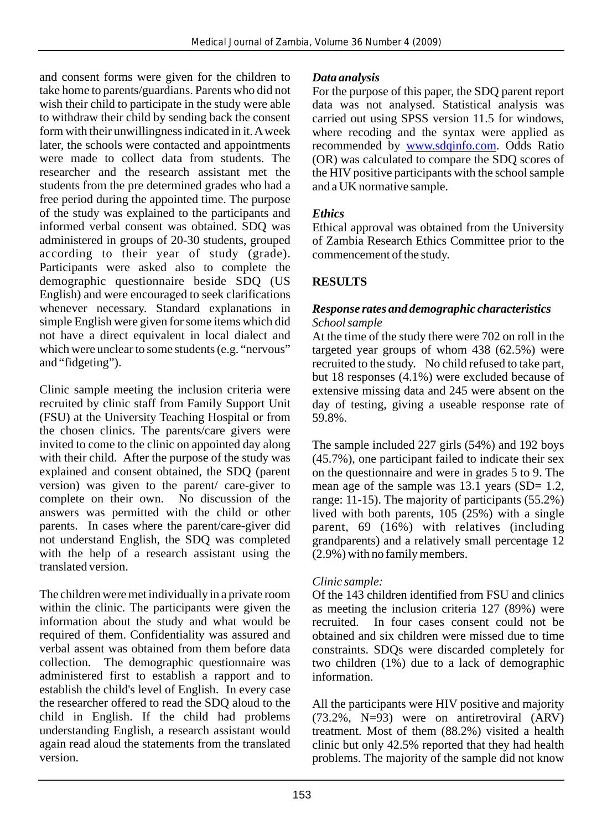and consent forms were given for the children to take home to parents/guardians. Parents who did not wish their child to participate in the study were able to withdraw their child by sending back the consent form with their unwillingness indicated in it. Aweek later, the schools were contacted and appointments were made to collect data from students. The researcher and the research assistant met the students from the pre determined grades who had a free period during the appointed time. The purpose of the study was explained to the participants and informed verbal consent was obtained. SDQ was administered in groups of 20-30 students, grouped according to their year of study (grade). Participants were asked also to complete the demographic questionnaire beside SDQ (US English) and were encouraged to seek clarifications whenever necessary. Standard explanations in simple English were given for some items which did not have a direct equivalent in local dialect and which were unclear to some students (e.g. "nervous" and "fidgeting").

Clinic sample meeting the inclusion criteria were recruited by clinic staff from Family Support Unit (FSU) at the University Teaching Hospital or from the chosen clinics. The parents/care givers were invited to come to the clinic on appointed day along with their child. After the purpose of the study was explained and consent obtained, the SDQ (parent version) was given to the parent/ care-giver to complete on their own. No discussion of the answers was permitted with the child or other parents. In cases where the parent/care-giver did not understand English, the SDQ was completed with the help of a research assistant using the translated version.

The children were met individually in a private room within the clinic. The participants were given the information about the study and what would be required of them. Confidentiality was assured and verbal assent was obtained from them before data collection. The demographic questionnaire was administered first to establish a rapport and to establish the child's level of English. In every case the researcher offered to read the SDQ aloud to the child in English. If the child had problems understanding English, a research assistant would again read aloud the statements from the translated version.

# *Data analysis*

For the purpose of this paper, the SDQ parent report data was not analysed. Statistical analysis was carried out using SPSS version 11.5 for windows, where recoding and the syntax were applied as recommended by **www.sdqinfo.com**. Odds Ratio (OR) was calculated to compare the SDQ scores of the HIV positive participants with the school sample and a UK normative sample.

# *Ethics*

Ethical approval was obtained from the University of Zambia Research Ethics Committee prior to the commencement of the study.

# **RESULTS**

### *Response rates and demographic characteristics School sample*

At the time of the study there were 702 on roll in the targeted year groups of whom 438 (62.5%) were recruited to the study. No child refused to take part, but 18 responses (4.1%) were excluded because of extensive missing data and 245 were absent on the day of testing, giving a useable response rate of 59.8%.

The sample included 227 girls (54%) and 192 boys (45.7%), one participant failed to indicate their sex on the questionnaire and were in grades 5 to 9. The mean age of the sample was  $13.1$  years  $(SD= 1.2,$ range: 11-15). The majority of participants (55.2%) lived with both parents, 105 (25%) with a single parent, 69 (16%) with relatives (including grandparents) and a relatively small percentage 12 (2.9%) with no family members.

# *Clinic sample:*

Of the 143 children identified from FSU and clinics as meeting the inclusion criteria 127 (89%) were recruited. In four cases consent could not be obtained and six children were missed due to time constraints. SDQs were discarded completely for two children (1%) due to a lack of demographic information.

All the participants were HIV positive and majority (73.2%, N=93) were on antiretroviral (ARV) treatment. Most of them (88.2%) visited a health clinic but only 42.5% reported that they had health problems. The majority of the sample did not know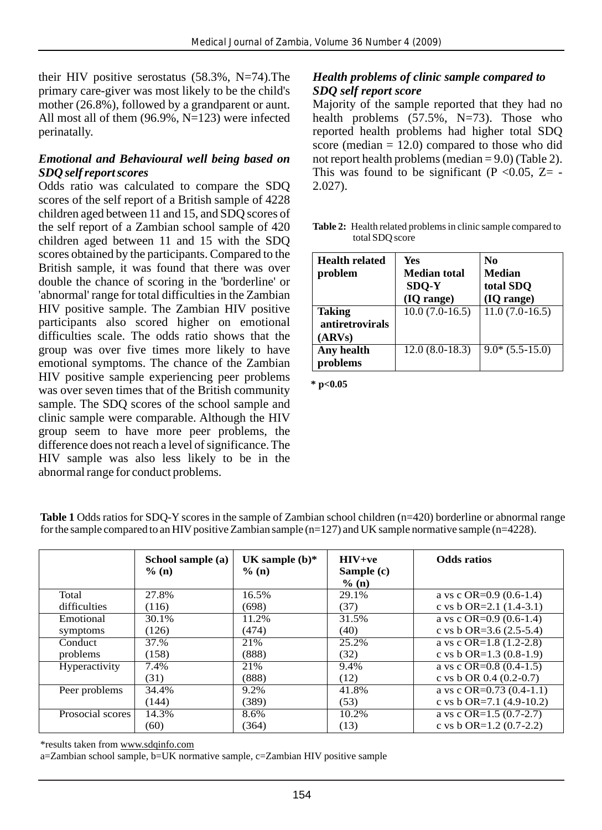their HIV positive serostatus (58.3%, N=74).The primary care-giver was most likely to be the child's mother (26.8%), followed by a grandparent or aunt. All most all of them (96.9%, N=123) were infected perinatally.

#### *Emotional and Behavioural well being based on SDQ self report scores*

Odds ratio was calculated to compare the SDQ scores of the self report of a British sample of 4228 children aged between 11 and 15, and SDQ scores of the self report of a Zambian school sample of 420 children aged between 11 and 15 with the SDQ scores obtained by the participants. Compared to the British sample, it was found that there was over double the chance of scoring in the 'borderline' or 'abnormal' range for total difficulties in the Zambian HIV positive sample. The Zambian HIV positive participants also scored higher on emotional difficulties scale. The odds ratio shows that the group was over five times more likely to have emotional symptoms. The chance of the Zambian HIV positive sample experiencing peer problems was over seven times that of the British community sample. The SDQ scores of the school sample and clinic sample were comparable. Although the HIV group seem to have more peer problems, the difference does not reach a level of significance. The HIV sample was also less likely to be in the abnormal range for conduct problems.

#### *Health problems of clinic sample compared to SDQ self report score*

Majority of the sample reported that they had no health problems  $(57.5\% \, \text{N} = 73)$ . Those who reported health problems had higher total SDQ score (median  $= 12.0$ ) compared to those who did not report health problems (median  $= 9.0$ ) (Table 2). This was found to be significant (P < 0.05,  $Z = -$ 2.027).

**Table 2:** Health related problems in clinic sample compared to total SDQ score

| <b>Health related</b><br>problem                  | Yes<br><b>Median total</b><br>SDQ-Y<br>(IQ range) | No<br><b>Median</b><br>total SDO<br>(IQ range) |
|---------------------------------------------------|---------------------------------------------------|------------------------------------------------|
| <b>Taking</b><br><i>antiretrovirals</i><br>(ARVs) | $10.0(7.0-16.5)$                                  | $11.0(7.0-16.5)$                               |
| Any health<br>problems                            | $12.0(8.0-18.3)$                                  | $9.0*(5.5-15.0)$                               |

**\* p<0.05** 

|                      | School sample (a)<br>$\%$ (n) | UK sample $(b)*$<br>$\%$ (n) | $HIV+ve$<br>Sample (c)<br>% (n) | <b>Odds</b> ratios             |
|----------------------|-------------------------------|------------------------------|---------------------------------|--------------------------------|
| Total                | 27.8%                         | 16.5%                        | 29.1%                           | a vs c OR= $0.9$ (0.6-1.4)     |
| difficulties         | (116)                         | (698)                        | (37)                            | c vs b OR=2.1 $(1.4-3.1)$      |
| Emotional            | 30.1%                         | 11.2%                        | 31.5%                           | a vs c OR= $0.9$ (0.6-1.4)     |
| symptoms             | (126)                         | (474)                        | (40)                            | c vs b OR=3.6 $(2.5-5.4)$      |
| Conduct              | 37.%                          | 21%                          | 25.2%                           | a vs c OR= $1.8$ (1.2-2.8)     |
| problems             | (158)                         | (888)                        | (32)                            | c vs b OR= $1.3$ (0.8- $1.9$ ) |
| <b>Hyperactivity</b> | 7.4%                          | 21%                          | 9.4%                            | a vs c OR= $0.8$ (0.4-1.5)     |
|                      | (31)                          | (888)                        | (12)                            | c vs b OR $0.4$ (0.2-0.7)      |
| Peer problems        | 34.4%                         | 9.2%                         | 41.8%                           | a vs c OR= $0.73$ (0.4-1.1)    |
|                      | (144)                         | (389)                        | (53)                            | c vs b OR=7.1 $(4.9-10.2)$     |
| Prosocial scores     | 14.3%                         | 8.6%                         | 10.2%                           | a vs c OR= $1.5(0.7-2.7)$      |
|                      | (60)                          | (364)                        | (13)                            | c vs b OR= $1.2$ (0.7-2.2)     |

**Table 1** Odds ratios for SDQ-Y scores in the sample of Zambian school children (n=420) borderline or abnormal range for the sample compared to an HIV positive Zambian sample  $(n=127)$  and UK sample normative sample  $(n=4228)$ .

\*results taken from www.sdqinfo.com

a=Zambian school sample, b=UK normative sample, c=Zambian HIV positive sample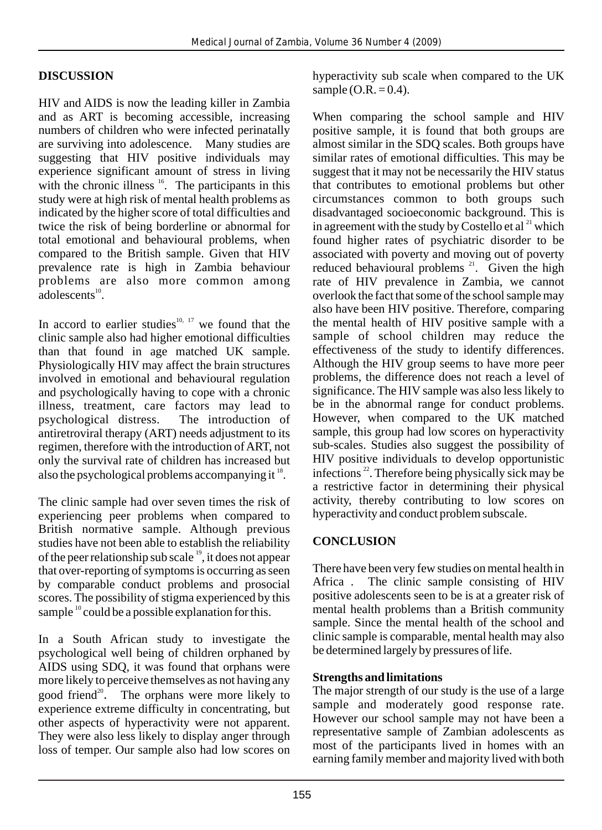# **DISCUSSION**

HIV and AIDS is now the leading killer in Zambia and as ART is becoming accessible, increasing numbers of children who were infected perinatally are surviving into adolescence. Many studies are suggesting that HIV positive individuals may experience significant amount of stress in living with the chronic illness  $16$ . The participants in this study were at high risk of mental health problems as indicated by the higher score of total difficulties and twice the risk of being borderline or abnormal for total emotional and behavioural problems, when compared to the British sample. Given that HIV prevalence rate is high in Zambia behaviour problems are also more common among  $a$ dolescents $^{10}$ 

In accord to earlier studies $10, 17$  we found that the clinic sample also had higher emotional difficulties than that found in age matched UK sample. Physiologically HIV may affect the brain structures involved in emotional and behavioural regulation and psychologically having to cope with a chronic illness, treatment, care factors may lead to psychological distress. The introduction of psychological distress. antiretroviral therapy (ART) needs adjustment to its regimen, therefore with the introduction of ART, not only the survival rate of children has increased but also the psychological problems accompanying it  $^{18}$ .

The clinic sample had over seven times the risk of experiencing peer problems when compared to British normative sample. Although previous studies have not been able to establish the reliability of the peer relationship sub scale  $\frac{19}{2}$ , it does not appear that over-reporting of symptoms is occurring as seen by comparable conduct problems and prosocial scores. The possibility of stigma experienced by this sample  $10$  could be a possible explanation for this.

In a South African study to investigate the psychological well being of children orphaned by AIDS using SDQ, it was found that orphans were more likely to perceive themselves as not having any good friend<sup>20</sup>. The orphans were more likely to experience extreme difficulty in concentrating, but other aspects of hyperactivity were not apparent. They were also less likely to display anger through loss of temper. Our sample also had low scores on hyperactivity sub scale when compared to the UK sample  $(O.R. = 0.4)$ .

When comparing the school sample and HIV positive sample, it is found that both groups are almost similar in the SDQ scales. Both groups have similar rates of emotional difficulties. This may be suggest that it may not be necessarily the HIV status that contributes to emotional problems but other circumstances common to both groups such disadvantaged socioeconomic background. This is in agreement with the study by Costello et al  $^{21}$  which found higher rates of psychiatric disorder to be associated with poverty and moving out of poverty reduced behavioural problems  $21$ . Given the high rate of HIV prevalence in Zambia, we cannot overlook the fact that some of the school sample may also have been HIV positive. Therefore, comparing the mental health of HIV positive sample with a sample of school children may reduce the effectiveness of the study to identify differences. Although the HIV group seems to have more peer problems, the difference does not reach a level of significance. The HIV sample was also less likely to be in the abnormal range for conduct problems. However, when compared to the UK matched sample, this group had low scores on hyperactivity sub-scales. Studies also suggest the possibility of HIV positive individuals to develop opportunistic infections  $^{22}$ . Therefore being physically sick may be a restrictive factor in determining their physical activity, thereby contributing to low scores on hyperactivity and conduct problem subscale.

### **CONCLUSION**

There have been very few studies on mental health in Africa . The clinic sample consisting of HIV positive adolescents seen to be is at a greater risk of mental health problems than a British community sample. Since the mental health of the school and clinic sample is comparable, mental health may also be determined largely by pressures of life.

### **Strengths and limitations**

The major strength of our study is the use of a large sample and moderately good response rate. However our school sample may not have been a representative sample of Zambian adolescents as most of the participants lived in homes with an earning family member and majority lived with both